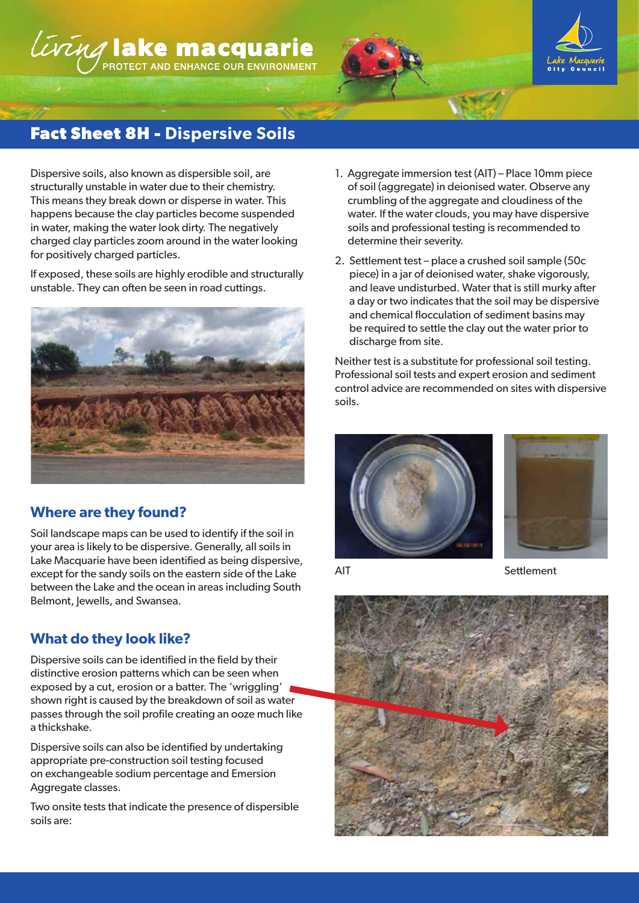# LUTING lake macquarie





# **Fact Sheet 8H - Dispersive Soils**

Dispersive soils, also known as dispersible soil, are structurally unstable in water due to their chemistry. This means they break down or disperse in water. This happens because the clay particles become suspended in water, making the water look dirty. The negatively charged clay particles zoom around in the water looking for positively charged particles.

If exposed, these soils are highly erodible and structurally unstable. They can often be seen in road cuttings.



## **Where are they found?**

Soil landscape maps can be used to identify if the soil in your area is likely to be dispersive. Generally, all soils in Lake Macquarie have been identified as being dispersive, except for the sandy soils on the eastern side of the Lake between the Lake and the ocean in areas including South Belmont, Jewells, and Swansea.

## **What do they look like?**

Dispersive soils can be identified in the field by their distinctive erosion patterns which can be seen when exposed by a cut, erosion or a batter. The 'wriggling' shown right is caused by the breakdown of soil as water passes through the soil profile creating an ooze much like a thickshake.

Dispersive soils can also be identified by undertaking appropriate pre-construction soil testing focused on exchangeable sodium percentage and Emersion Aggregate classes.

Two onsite tests that indicate the presence of dispersible soils are:

- 1. Aggregate immersion test (AIT) Place 10mm piece of soil (aggregate) in deionised water. Observe any crumbling of the aggregate and cloudiness of the water. If the water clouds, you may have dispersive soils and professional testing is recommended to determine their severity.
- 2. Settlement test place a crushed soil sample (50c piece) in a jar of deionised water, shake vigorously, and leave undisturbed. Water that is still murky after a day or two indicates that the soil may be dispersive and chemical flocculation of sediment basins may be required to settle the clay out the water prior to discharge from site.

Neither test is a substitute for professional soil testing. Professional soil tests and expert erosion and sediment control advice are recommended on sites with dispersive soils.





AIT Settlement